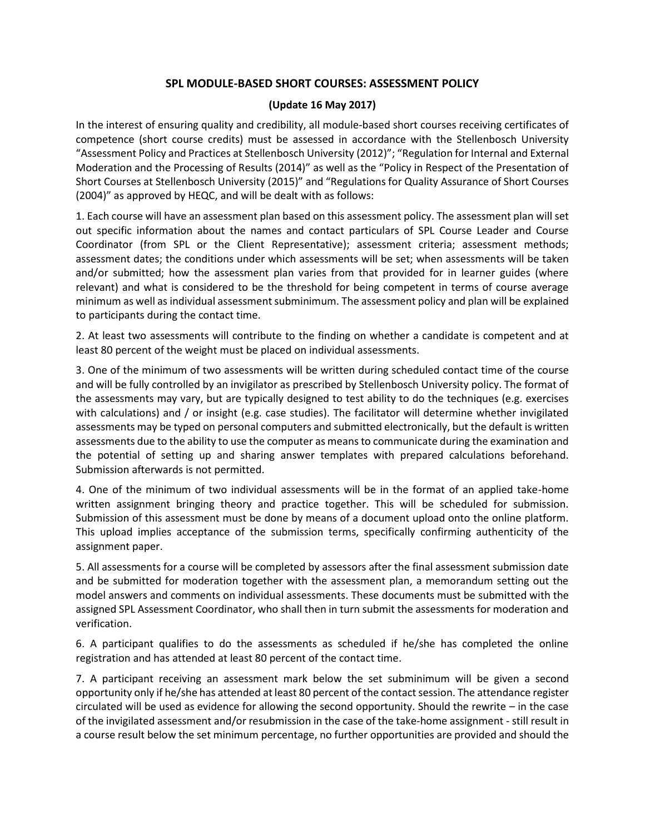## **SPL MODULE-BASED SHORT COURSES: ASSESSMENT POLICY**

## **(Update 16 May 2017)**

In the interest of ensuring quality and credibility, all module-based short courses receiving certificates of competence (short course credits) must be assessed in accordance with the Stellenbosch University "Assessment Policy and Practices at Stellenbosch University (2012)"; "Regulation for Internal and External Moderation and the Processing of Results (2014)" as well as the "Policy in Respect of the Presentation of Short Courses at Stellenbosch University (2015)" and "Regulations for Quality Assurance of Short Courses (2004)" as approved by HEQC, and will be dealt with as follows:

1. Each course will have an assessment plan based on this assessment policy. The assessment plan will set out specific information about the names and contact particulars of SPL Course Leader and Course Coordinator (from SPL or the Client Representative); assessment criteria; assessment methods; assessment dates; the conditions under which assessments will be set; when assessments will be taken and/or submitted; how the assessment plan varies from that provided for in learner guides (where relevant) and what is considered to be the threshold for being competent in terms of course average minimum as well as individual assessment subminimum. The assessment policy and plan will be explained to participants during the contact time.

2. At least two assessments will contribute to the finding on whether a candidate is competent and at least 80 percent of the weight must be placed on individual assessments.

3. One of the minimum of two assessments will be written during scheduled contact time of the course and will be fully controlled by an invigilator as prescribed by Stellenbosch University policy. The format of the assessments may vary, but are typically designed to test ability to do the techniques (e.g. exercises with calculations) and / or insight (e.g. case studies). The facilitator will determine whether invigilated assessments may be typed on personal computers and submitted electronically, but the default is written assessments due to the ability to use the computer as means to communicate during the examination and the potential of setting up and sharing answer templates with prepared calculations beforehand. Submission afterwards is not permitted.

4. One of the minimum of two individual assessments will be in the format of an applied take-home written assignment bringing theory and practice together. This will be scheduled for submission. Submission of this assessment must be done by means of a document upload onto the online platform. This upload implies acceptance of the submission terms, specifically confirming authenticity of the assignment paper.

5. All assessments for a course will be completed by assessors after the final assessment submission date and be submitted for moderation together with the assessment plan, a memorandum setting out the model answers and comments on individual assessments. These documents must be submitted with the assigned SPL Assessment Coordinator, who shall then in turn submit the assessments for moderation and verification.

6. A participant qualifies to do the assessments as scheduled if he/she has completed the online registration and has attended at least 80 percent of the contact time.

7. A participant receiving an assessment mark below the set subminimum will be given a second opportunity only if he/she has attended at least 80 percent of the contact session. The attendance register circulated will be used as evidence for allowing the second opportunity. Should the rewrite – in the case of the invigilated assessment and/or resubmission in the case of the take-home assignment - still result in a course result below the set minimum percentage, no further opportunities are provided and should the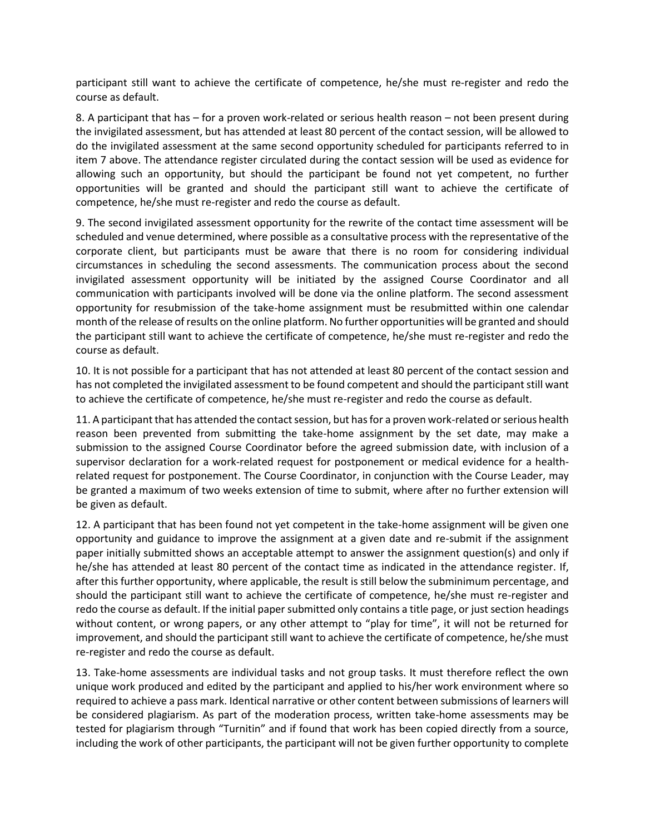participant still want to achieve the certificate of competence, he/she must re-register and redo the course as default.

8. A participant that has – for a proven work-related or serious health reason – not been present during the invigilated assessment, but has attended at least 80 percent of the contact session, will be allowed to do the invigilated assessment at the same second opportunity scheduled for participants referred to in item 7 above. The attendance register circulated during the contact session will be used as evidence for allowing such an opportunity, but should the participant be found not yet competent, no further opportunities will be granted and should the participant still want to achieve the certificate of competence, he/she must re-register and redo the course as default.

9. The second invigilated assessment opportunity for the rewrite of the contact time assessment will be scheduled and venue determined, where possible as a consultative process with the representative of the corporate client, but participants must be aware that there is no room for considering individual circumstances in scheduling the second assessments. The communication process about the second invigilated assessment opportunity will be initiated by the assigned Course Coordinator and all communication with participants involved will be done via the online platform. The second assessment opportunity for resubmission of the take-home assignment must be resubmitted within one calendar month of the release of results on the online platform. No further opportunities will be granted and should the participant still want to achieve the certificate of competence, he/she must re-register and redo the course as default.

10. It is not possible for a participant that has not attended at least 80 percent of the contact session and has not completed the invigilated assessment to be found competent and should the participant still want to achieve the certificate of competence, he/she must re-register and redo the course as default.

11. A participant that has attended the contact session, but has for a proven work-related or serious health reason been prevented from submitting the take-home assignment by the set date, may make a submission to the assigned Course Coordinator before the agreed submission date, with inclusion of a supervisor declaration for a work-related request for postponement or medical evidence for a healthrelated request for postponement. The Course Coordinator, in conjunction with the Course Leader, may be granted a maximum of two weeks extension of time to submit, where after no further extension will be given as default.

12. A participant that has been found not yet competent in the take-home assignment will be given one opportunity and guidance to improve the assignment at a given date and re-submit if the assignment paper initially submitted shows an acceptable attempt to answer the assignment question(s) and only if he/she has attended at least 80 percent of the contact time as indicated in the attendance register. If, after this further opportunity, where applicable, the result is still below the subminimum percentage, and should the participant still want to achieve the certificate of competence, he/she must re-register and redo the course as default. If the initial paper submitted only contains a title page, or just section headings without content, or wrong papers, or any other attempt to "play for time", it will not be returned for improvement, and should the participant still want to achieve the certificate of competence, he/she must re-register and redo the course as default.

13. Take-home assessments are individual tasks and not group tasks. It must therefore reflect the own unique work produced and edited by the participant and applied to his/her work environment where so required to achieve a pass mark. Identical narrative or other content between submissions of learners will be considered plagiarism. As part of the moderation process, written take-home assessments may be tested for plagiarism through "Turnitin" and if found that work has been copied directly from a source, including the work of other participants, the participant will not be given further opportunity to complete